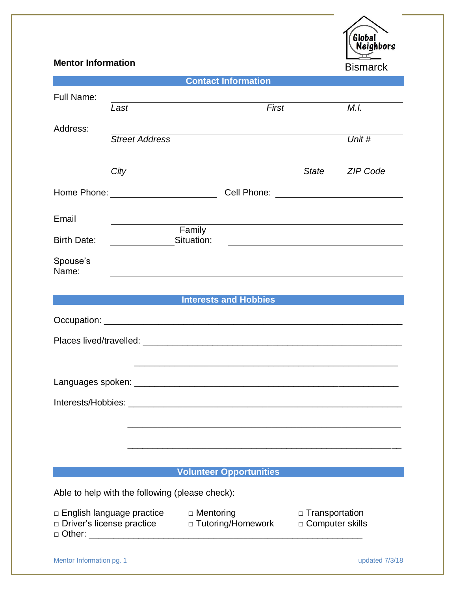|                           |                                                  |                                |       |                   | Global<br><b>Neighbors</b> |  |
|---------------------------|--------------------------------------------------|--------------------------------|-------|-------------------|----------------------------|--|
| <b>Mentor Information</b> |                                                  |                                |       |                   | <b>Bismarck</b>            |  |
|                           |                                                  | <b>Contact Information</b>     |       |                   |                            |  |
| <b>Full Name:</b>         |                                                  |                                |       |                   |                            |  |
|                           | Last                                             |                                | First |                   | M.I.                       |  |
| Address:                  |                                                  |                                |       |                   |                            |  |
|                           | <b>Street Address</b>                            |                                |       |                   | Unit #                     |  |
|                           |                                                  |                                |       |                   |                            |  |
|                           | City                                             |                                |       | <b>State</b>      | <b>ZIP Code</b>            |  |
|                           | Home Phone: _________________________            |                                |       |                   |                            |  |
|                           |                                                  |                                |       |                   |                            |  |
| Email                     |                                                  | Family                         |       |                   |                            |  |
| <b>Birth Date:</b>        |                                                  | Situation:                     |       |                   |                            |  |
| Spouse's                  |                                                  |                                |       |                   |                            |  |
| Name:                     |                                                  |                                |       |                   |                            |  |
|                           |                                                  |                                |       |                   |                            |  |
|                           |                                                  | <b>Interests and Hobbies</b>   |       |                   |                            |  |
|                           |                                                  |                                |       |                   |                            |  |
|                           |                                                  |                                |       |                   |                            |  |
|                           |                                                  |                                |       |                   |                            |  |
|                           |                                                  |                                |       |                   |                            |  |
|                           |                                                  |                                |       |                   |                            |  |
|                           |                                                  |                                |       |                   |                            |  |
|                           |                                                  |                                |       |                   |                            |  |
|                           |                                                  |                                |       |                   |                            |  |
|                           |                                                  |                                |       |                   |                            |  |
|                           |                                                  | <b>Volunteer Opportunities</b> |       |                   |                            |  |
|                           | Able to help with the following (please check):  |                                |       |                   |                            |  |
|                           | □ English language practice □ Mentoring          |                                |       | □ Transportation  |                            |  |
|                           | □ Driver's license practice  D Tutoring/Homework |                                |       | □ Computer skills |                            |  |
|                           |                                                  |                                |       |                   |                            |  |
| Mentor Information pg. 1  |                                                  |                                |       |                   | updated 7/3/18             |  |